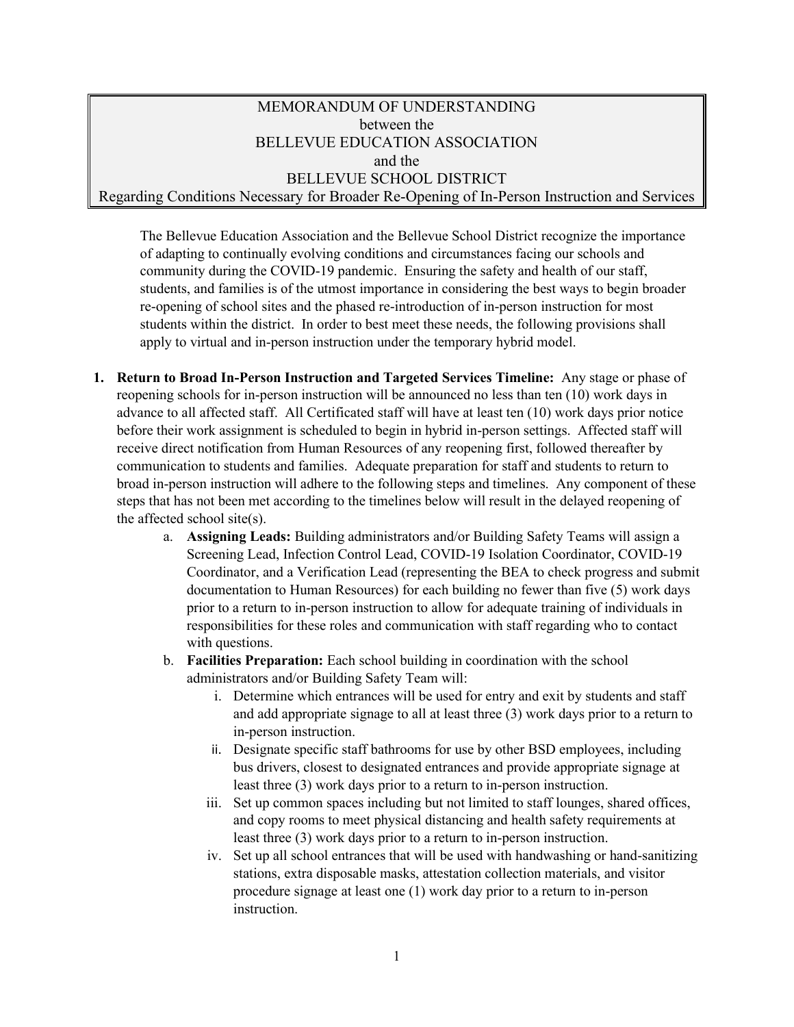## MEMORANDUM OF UNDERSTANDING between the BELLEVUE EDUCATION ASSOCIATION and the BELLEVUE SCHOOL DISTRICT Regarding Conditions Necessary for Broader Re-Opening of In-Person Instruction and Services

The Bellevue Education Association and the Bellevue School District recognize the importance of adapting to continually evolving conditions and circumstances facing our schools and community during the COVID-19 pandemic. Ensuring the safety and health of our staff, students, and families is of the utmost importance in considering the best ways to begin broader re-opening of school sites and the phased re-introduction of in-person instruction for most students within the district. In order to best meet these needs, the following provisions shall apply to virtual and in-person instruction under the temporary hybrid model.

- **1. Return to Broad In-Person Instruction and Targeted Services Timeline:** Any stage or phase of reopening schools for in-person instruction will be announced no less than ten (10) work days in advance to all affected staff. All Certificated staff will have at least ten (10) work days prior notice before their work assignment is scheduled to begin in hybrid in-person settings. Affected staff will receive direct notification from Human Resources of any reopening first, followed thereafter by communication to students and families. Adequate preparation for staff and students to return to broad in-person instruction will adhere to the following steps and timelines. Any component of these steps that has not been met according to the timelines below will result in the delayed reopening of the affected school site(s).
	- a. **Assigning Leads:** Building administrators and/or Building Safety Teams will assign a Screening Lead, Infection Control Lead, COVID-19 Isolation Coordinator, COVID-19 Coordinator, and a Verification Lead (representing the BEA to check progress and submit documentation to Human Resources) for each building no fewer than five (5) work days prior to a return to in-person instruction to allow for adequate training of individuals in responsibilities for these roles and communication with staff regarding who to contact with questions.
	- b. **Facilities Preparation:** Each school building in coordination with the school administrators and/or Building Safety Team will:
		- i. Determine which entrances will be used for entry and exit by students and staff and add appropriate signage to all at least three (3) work days prior to a return to in-person instruction.
		- ii. Designate specific staff bathrooms for use by other BSD employees, including bus drivers, closest to designated entrances and provide appropriate signage at least three (3) work days prior to a return to in-person instruction.
		- iii. Set up common spaces including but not limited to staff lounges, shared offices, and copy rooms to meet physical distancing and health safety requirements at least three (3) work days prior to a return to in-person instruction.
		- iv. Set up all school entrances that will be used with handwashing or hand-sanitizing stations, extra disposable masks, attestation collection materials, and visitor procedure signage at least one (1) work day prior to a return to in-person instruction.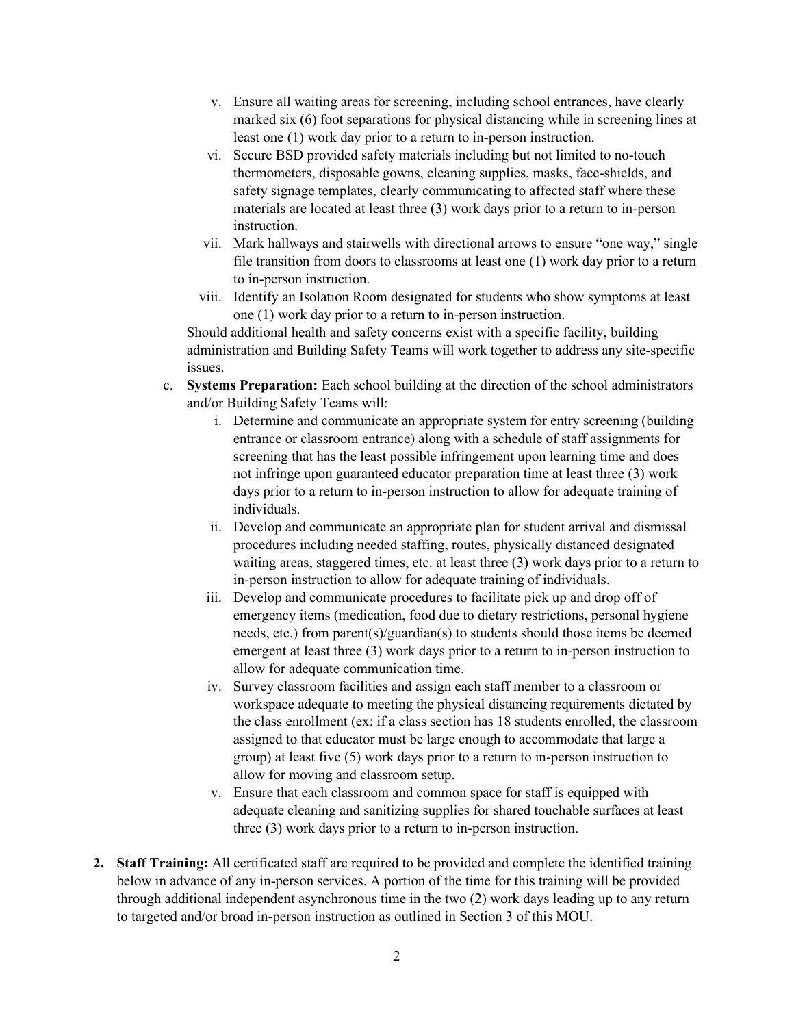- v. Ensure all waiting areas for screening, including school entrances, have clearly marked six (6) foot separations for physical distancing while in screening lines at least one (1) work day prior to a return to in-person instruction.
- vi. Secure BSD provided safety materials including but not limited to no-touch thermometers, disposable gowns, cleaning supplies, masks, face-shields, and safety signage templates, clearly communicating to affected staff where these materials are located at least three (3) work days prior to a return to in-person instruction.
- vii. Mark hallways and stairwells with directional arrows to ensure "one way," single file transition from doors to classrooms at least one (1) work day prior to a return to in-person instruction.
- viii. Identify an Isolation Room designated for students who show symptoms at least one (1) work day prior to a return to in-person instruction.

Should additional health and safety concerns exist with a specific facility, building administration and Building Safety Teams will work together to address any site-specific issues.

- c. **Systems Preparation:** Each school building at the direction of the school administrators and/or Building Safety Teams will:
	- i. Determine and communicate an appropriate system for entry screening (building entrance or classroom entrance) along with a schedule of staff assignments for screening that has the least possible infringement upon learning time and does not infringe upon guaranteed educator preparation time at least three (3) work days prior to a return to in-person instruction to allow for adequate training of individuals.
	- ii. Develop and communicate an appropriate plan for student arrival and dismissal procedures including needed staffing, routes, physically distanced designated waiting areas, staggered times, etc. at least three (3) work days prior to a return to in-person instruction to allow for adequate training of individuals.
	- iii. Develop and communicate procedures to facilitate pick up and drop off of emergency items (medication, food due to dietary restrictions, personal hygiene needs, etc.) from parent(s)/guardian(s) to students should those items be deemed emergent at least three (3) work days prior to a return to in-person instruction to allow for adequate communication time.
	- iv. Survey classroom facilities and assign each staff member to a classroom or workspace adequate to meeting the physical distancing requirements dictated by the class enrollment (ex: if a class section has 18 students enrolled, the classroom assigned to that educator must be large enough to accommodate that large a group) at least five (5) work days prior to a return to in-person instruction to allow for moving and classroom setup.
	- v. Ensure that each classroom and common space for staff is equipped with adequate cleaning and sanitizing supplies for shared touchable surfaces at least three (3) work days prior to a return to in-person instruction.
- **2. Staff Training:** All certificated staff are required to be provided and complete the identified training below in advance of any in-person services. A portion of the time for this training will be provided through additional independent asynchronous time in the two (2) work days leading up to any return to targeted and/or broad in-person instruction as outlined in Section 3 of this MOU.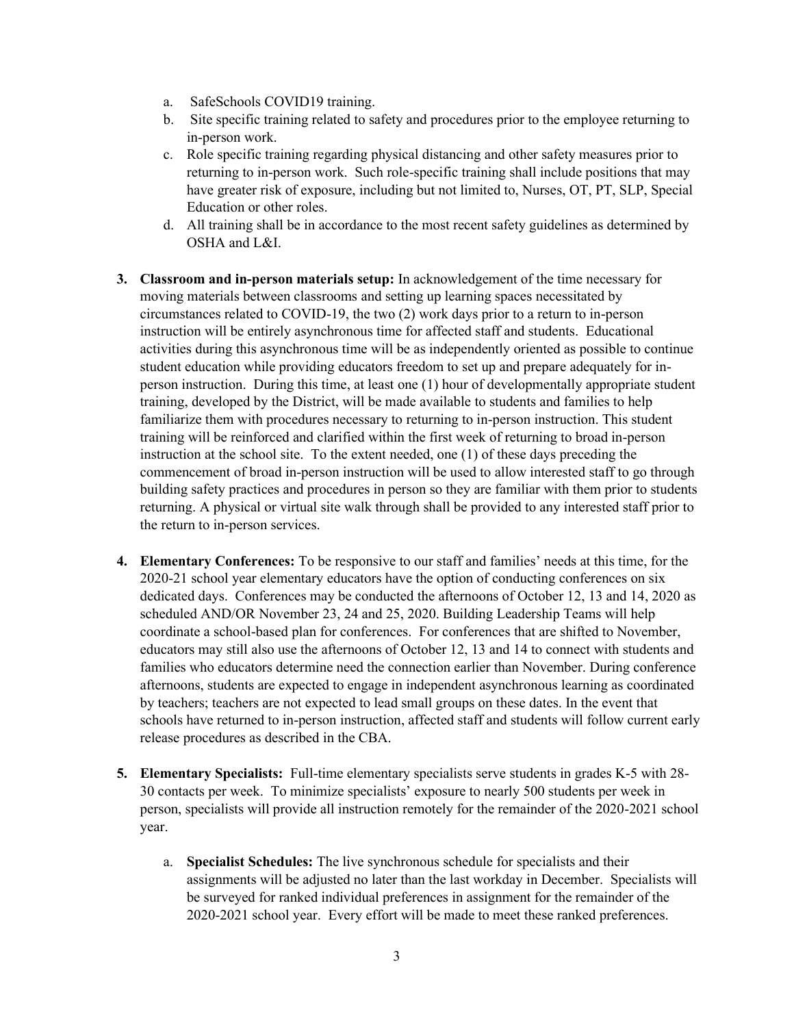- a. SafeSchools COVID19 training.
- b. Site specific training related to safety and procedures prior to the employee returning to in-person work.
- c. Role specific training regarding physical distancing and other safety measures prior to returning to in-person work. Such role-specific training shall include positions that may have greater risk of exposure, including but not limited to, Nurses, OT, PT, SLP, Special Education or other roles.
- d. All training shall be in accordance to the most recent safety guidelines as determined by OSHA and L&I.
- **3. Classroom and in-person materials setup:** In acknowledgement of the time necessary for moving materials between classrooms and setting up learning spaces necessitated by circumstances related to COVID-19, the two (2) work days prior to a return to in-person instruction will be entirely asynchronous time for affected staff and students. Educational activities during this asynchronous time will be as independently oriented as possible to continue student education while providing educators freedom to set up and prepare adequately for inperson instruction. During this time, at least one (1) hour of developmentally appropriate student training, developed by the District, will be made available to students and families to help familiarize them with procedures necessary to returning to in-person instruction. This student training will be reinforced and clarified within the first week of returning to broad in-person instruction at the school site. To the extent needed, one (1) of these days preceding the commencement of broad in-person instruction will be used to allow interested staff to go through building safety practices and procedures in person so they are familiar with them prior to students returning. A physical or virtual site walk through shall be provided to any interested staff prior to the return to in-person services.
- **4. Elementary Conferences:** To be responsive to our staff and families' needs at this time, for the 2020-21 school year elementary educators have the option of conducting conferences on six dedicated days. Conferences may be conducted the afternoons of October 12, 13 and 14, 2020 as scheduled AND/OR November 23, 24 and 25, 2020. Building Leadership Teams will help coordinate a school-based plan for conferences. For conferences that are shifted to November, educators may still also use the afternoons of October 12, 13 and 14 to connect with students and families who educators determine need the connection earlier than November. During conference afternoons, students are expected to engage in independent asynchronous learning as coordinated by teachers; teachers are not expected to lead small groups on these dates. In the event that schools have returned to in-person instruction, affected staff and students will follow current early release procedures as described in the CBA.
- **5. Elementary Specialists:** Full-time elementary specialists serve students in grades K-5 with 28- 30 contacts per week. To minimize specialists' exposure to nearly 500 students per week in person, specialists will provide all instruction remotely for the remainder of the 2020-2021 school year.
	- a. **Specialist Schedules:** The live synchronous schedule for specialists and their assignments will be adjusted no later than the last workday in December. Specialists will be surveyed for ranked individual preferences in assignment for the remainder of the 2020-2021 school year. Every effort will be made to meet these ranked preferences.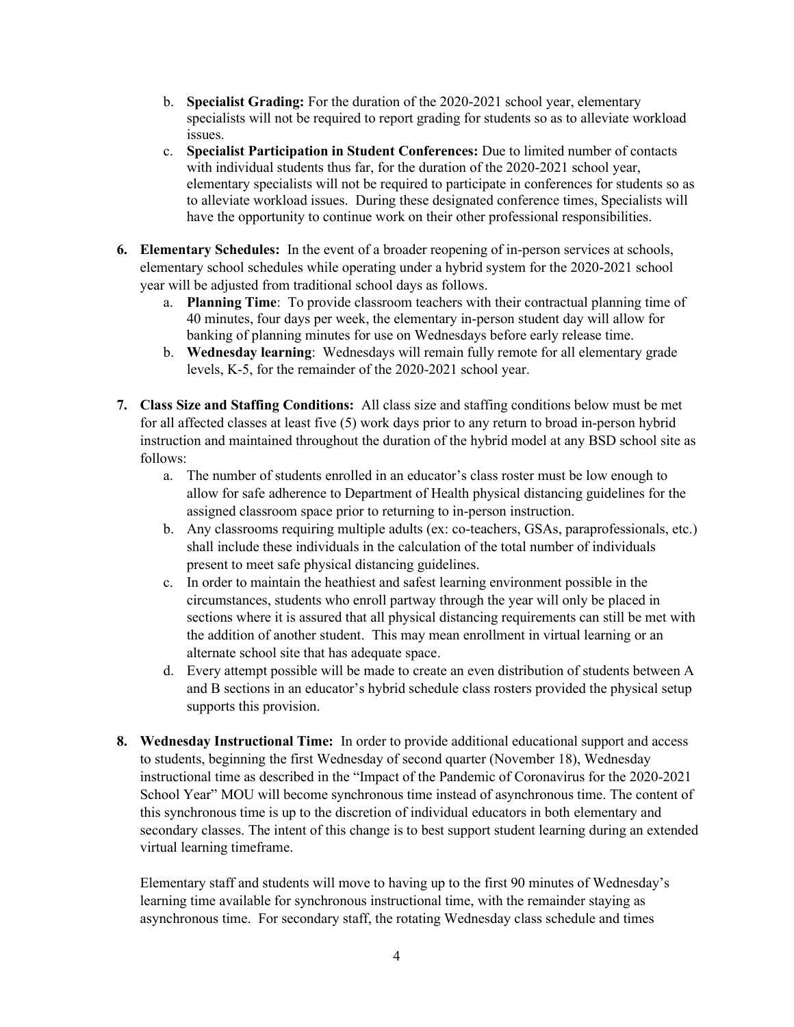- b. **Specialist Grading:** For the duration of the 2020-2021 school year, elementary specialists will not be required to report grading for students so as to alleviate workload issues.
- c. **Specialist Participation in Student Conferences:** Due to limited number of contacts with individual students thus far, for the duration of the 2020-2021 school year, elementary specialists will not be required to participate in conferences for students so as to alleviate workload issues. During these designated conference times, Specialists will have the opportunity to continue work on their other professional responsibilities.
- **6. Elementary Schedules:** In the event of a broader reopening of in-person services at schools, elementary school schedules while operating under a hybrid system for the 2020-2021 school year will be adjusted from traditional school days as follows.
	- a. **Planning Time**: To provide classroom teachers with their contractual planning time of 40 minutes, four days per week, the elementary in-person student day will allow for banking of planning minutes for use on Wednesdays before early release time.
	- b. **Wednesday learning**: Wednesdays will remain fully remote for all elementary grade levels, K-5, for the remainder of the 2020-2021 school year.
- **7. Class Size and Staffing Conditions:** All class size and staffing conditions below must be met for all affected classes at least five (5) work days prior to any return to broad in-person hybrid instruction and maintained throughout the duration of the hybrid model at any BSD school site as follows:
	- a. The number of students enrolled in an educator's class roster must be low enough to allow for safe adherence to Department of Health physical distancing guidelines for the assigned classroom space prior to returning to in-person instruction.
	- b. Any classrooms requiring multiple adults (ex: co-teachers, GSAs, paraprofessionals, etc.) shall include these individuals in the calculation of the total number of individuals present to meet safe physical distancing guidelines.
	- c. In order to maintain the heathiest and safest learning environment possible in the circumstances, students who enroll partway through the year will only be placed in sections where it is assured that all physical distancing requirements can still be met with the addition of another student. This may mean enrollment in virtual learning or an alternate school site that has adequate space.
	- d. Every attempt possible will be made to create an even distribution of students between A and B sections in an educator's hybrid schedule class rosters provided the physical setup supports this provision.
- **8. Wednesday Instructional Time:** In order to provide additional educational support and access to students, beginning the first Wednesday of second quarter (November 18), Wednesday instructional time as described in the "Impact of the Pandemic of Coronavirus for the 2020-2021 School Year" MOU will become synchronous time instead of asynchronous time. The content of this synchronous time is up to the discretion of individual educators in both elementary and secondary classes. The intent of this change is to best support student learning during an extended virtual learning timeframe.

Elementary staff and students will move to having up to the first 90 minutes of Wednesday's learning time available for synchronous instructional time, with the remainder staying as asynchronous time. For secondary staff, the rotating Wednesday class schedule and times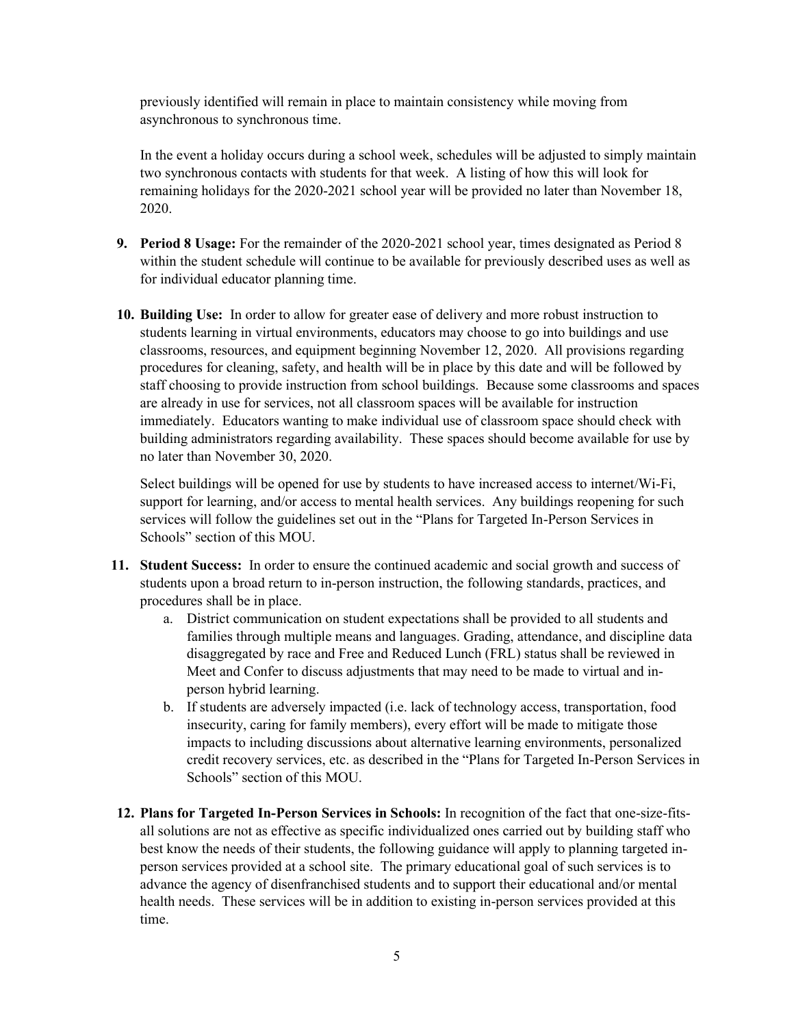previously identified will remain in place to maintain consistency while moving from asynchronous to synchronous time.

In the event a holiday occurs during a school week, schedules will be adjusted to simply maintain two synchronous contacts with students for that week. A listing of how this will look for remaining holidays for the 2020-2021 school year will be provided no later than November 18, 2020.

- **9. Period 8 Usage:** For the remainder of the 2020-2021 school year, times designated as Period 8 within the student schedule will continue to be available for previously described uses as well as for individual educator planning time.
- **10. Building Use:** In order to allow for greater ease of delivery and more robust instruction to students learning in virtual environments, educators may choose to go into buildings and use classrooms, resources, and equipment beginning November 12, 2020. All provisions regarding procedures for cleaning, safety, and health will be in place by this date and will be followed by staff choosing to provide instruction from school buildings. Because some classrooms and spaces are already in use for services, not all classroom spaces will be available for instruction immediately. Educators wanting to make individual use of classroom space should check with building administrators regarding availability. These spaces should become available for use by no later than November 30, 2020.

Select buildings will be opened for use by students to have increased access to internet/Wi-Fi, support for learning, and/or access to mental health services. Any buildings reopening for such services will follow the guidelines set out in the "Plans for Targeted In-Person Services in Schools" section of this MOU.

- **11. Student Success:** In order to ensure the continued academic and social growth and success of students upon a broad return to in-person instruction, the following standards, practices, and procedures shall be in place.
	- a. District communication on student expectations shall be provided to all students and families through multiple means and languages. Grading, attendance, and discipline data disaggregated by race and Free and Reduced Lunch (FRL) status shall be reviewed in Meet and Confer to discuss adjustments that may need to be made to virtual and inperson hybrid learning.
	- b. If students are adversely impacted (i.e. lack of technology access, transportation, food insecurity, caring for family members), every effort will be made to mitigate those impacts to including discussions about alternative learning environments, personalized credit recovery services, etc. as described in the "Plans for Targeted In-Person Services in Schools" section of this MOU.
- **12. Plans for Targeted In-Person Services in Schools:** In recognition of the fact that one-size-fitsall solutions are not as effective as specific individualized ones carried out by building staff who best know the needs of their students, the following guidance will apply to planning targeted inperson services provided at a school site. The primary educational goal of such services is to advance the agency of disenfranchised students and to support their educational and/or mental health needs. These services will be in addition to existing in-person services provided at this time.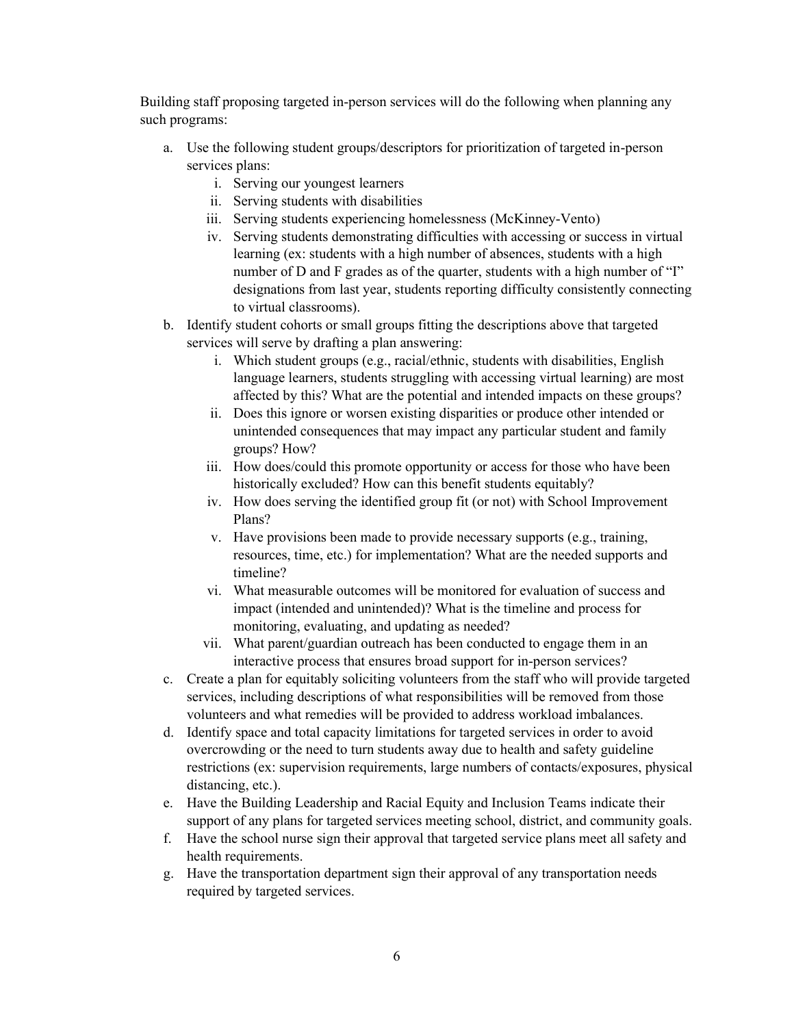Building staff proposing targeted in-person services will do the following when planning any such programs:

- a. Use the following student groups/descriptors for prioritization of targeted in-person services plans:
	- i. Serving our youngest learners
	- ii. Serving students with disabilities
	- iii. Serving students experiencing homelessness (McKinney-Vento)
	- iv. Serving students demonstrating difficulties with accessing or success in virtual learning (ex: students with a high number of absences, students with a high number of D and F grades as of the quarter, students with a high number of "I" designations from last year, students reporting difficulty consistently connecting to virtual classrooms).
- b. Identify student cohorts or small groups fitting the descriptions above that targeted services will serve by drafting a plan answering:
	- i. Which student groups (e.g., racial/ethnic, students with disabilities, English language learners, students struggling with accessing virtual learning) are most affected by this? What are the potential and intended impacts on these groups?
	- ii. Does this ignore or worsen existing disparities or produce other intended or unintended consequences that may impact any particular student and family groups? How?
	- iii. How does/could this promote opportunity or access for those who have been historically excluded? How can this benefit students equitably?
	- iv. How does serving the identified group fit (or not) with School Improvement Plans?
	- v. Have provisions been made to provide necessary supports (e.g., training, resources, time, etc.) for implementation? What are the needed supports and timeline?
	- vi. What measurable outcomes will be monitored for evaluation of success and impact (intended and unintended)? What is the timeline and process for monitoring, evaluating, and updating as needed?
	- vii. What parent/guardian outreach has been conducted to engage them in an interactive process that ensures broad support for in-person services?
- c. Create a plan for equitably soliciting volunteers from the staff who will provide targeted services, including descriptions of what responsibilities will be removed from those volunteers and what remedies will be provided to address workload imbalances.
- d. Identify space and total capacity limitations for targeted services in order to avoid overcrowding or the need to turn students away due to health and safety guideline restrictions (ex: supervision requirements, large numbers of contacts/exposures, physical distancing, etc.).
- e. Have the Building Leadership and Racial Equity and Inclusion Teams indicate their support of any plans for targeted services meeting school, district, and community goals.
- f. Have the school nurse sign their approval that targeted service plans meet all safety and health requirements.
- g. Have the transportation department sign their approval of any transportation needs required by targeted services.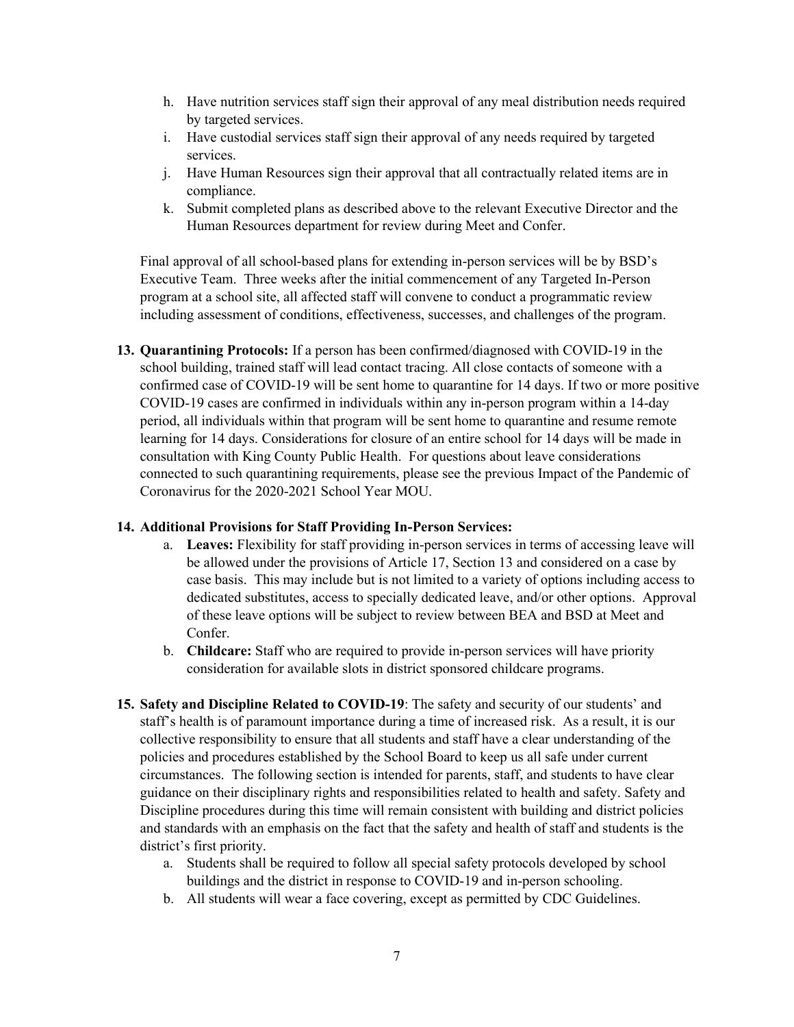- h. Have nutrition services staff sign their approval of any meal distribution needs required by targeted services.
- i. Have custodial services staff sign their approval of any needs required by targeted services.
- j. Have Human Resources sign their approval that all contractually related items are in compliance.
- k. Submit completed plans as described above to the relevant Executive Director and the Human Resources department for review during Meet and Confer.

Final approval of all school-based plans for extending in-person services will be by BSD's Executive Team. Three weeks after the initial commencement of any Targeted In-Person program at a school site, all affected staff will convene to conduct a programmatic review including assessment of conditions, effectiveness, successes, and challenges of the program.

**13. Quarantining Protocols:** If a person has been confirmed/diagnosed with COVID-19 in the school building, trained staff will lead contact tracing. All close contacts of someone with a confirmed case of COVID-19 will be sent home to quarantine for 14 days. If two or more positive COVID-19 cases are confirmed in individuals within any in-person program within a 14-day period, all individuals within that program will be sent home to quarantine and resume remote learning for 14 days. Considerations for closure of an entire school for 14 days will be made in consultation with King County Public Health. For questions about leave considerations connected to such quarantining requirements, please see the previous Impact of the Pandemic of Coronavirus for the 2020-2021 School Year MOU.

## **14. Additional Provisions for Staff Providing In-Person Services:**

- a. **Leaves:** Flexibility for staff providing in-person services in terms of accessing leave will be allowed under the provisions of Article 17, Section 13 and considered on a case by case basis. This may include but is not limited to a variety of options including access to dedicated substitutes, access to specially dedicated leave, and/or other options. Approval of these leave options will be subject to review between BEA and BSD at Meet and Confer.
- b. **Childcare:** Staff who are required to provide in-person services will have priority consideration for available slots in district sponsored childcare programs.
- **15. Safety and Discipline Related to COVID-19:** The safety and security of our students' and staff's health is of paramount importance during a time of increased risk. As a result, it is our collective responsibility to ensure that all students and staff have a clear understanding of the policies and procedures established by the School Board to keep us all safe under current circumstances. The following section is intended for parents, staff, and students to have clear guidance on their disciplinary rights and responsibilities related to health and safety. Safety and Discipline procedures during this time will remain consistent with building and district policies and standards with an emphasis on the fact that the safety and health of staff and students is the district's first priority.
	- a. Students shall be required to follow all special safety protocols developed by school buildings and the district in response to COVID-19 and in-person schooling.
	- b. All students will wear a face covering, except as permitted by CDC Guidelines.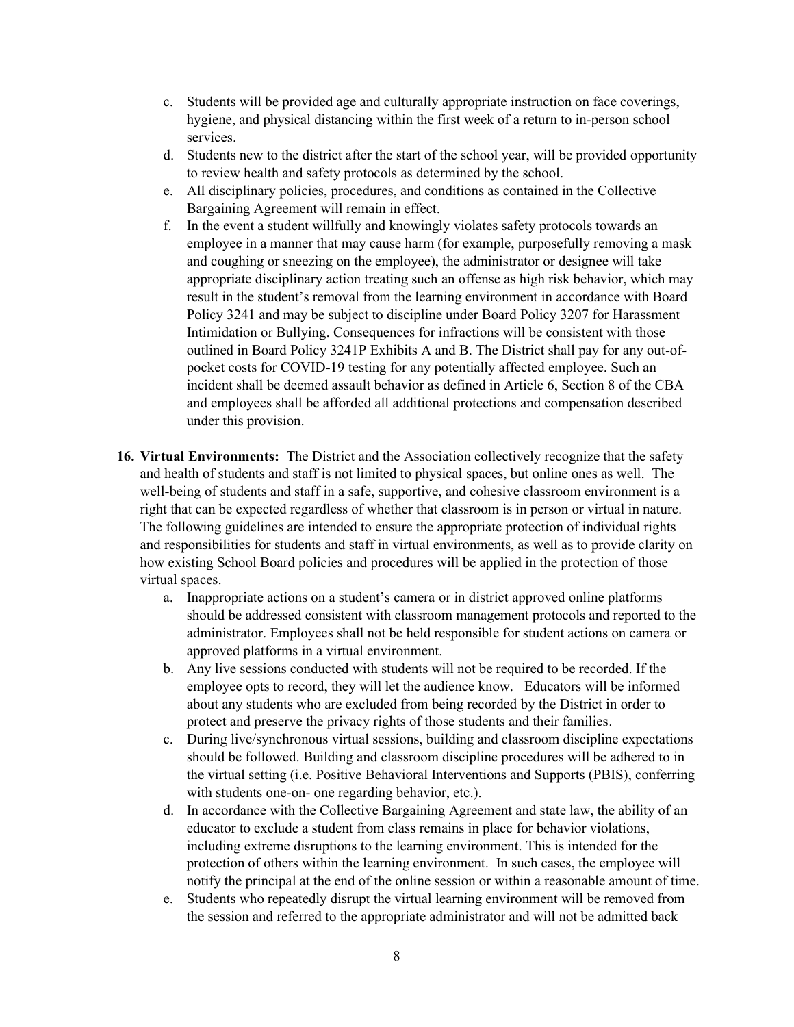- c. Students will be provided age and culturally appropriate instruction on face coverings, hygiene, and physical distancing within the first week of a return to in-person school services.
- d. Students new to the district after the start of the school year, will be provided opportunity to review health and safety protocols as determined by the school.
- e. All disciplinary policies, procedures, and conditions as contained in the Collective Bargaining Agreement will remain in effect.
- f. In the event a student willfully and knowingly violates safety protocols towards an employee in a manner that may cause harm (for example, purposefully removing a mask and coughing or sneezing on the employee), the administrator or designee will take appropriate disciplinary action treating such an offense as high risk behavior, which may result in the student's removal from the learning environment in accordance with Board Policy 3241 and may be subject to discipline under Board Policy 3207 for Harassment Intimidation or Bullying. Consequences for infractions will be consistent with those outlined in Board Policy 3241P Exhibits A and B. The District shall pay for any out-ofpocket costs for COVID-19 testing for any potentially affected employee. Such an incident shall be deemed assault behavior as defined in Article 6, Section 8 of the CBA and employees shall be afforded all additional protections and compensation described under this provision.
- **16. Virtual Environments:** The District and the Association collectively recognize that the safety and health of students and staff is not limited to physical spaces, but online ones as well. The well-being of students and staff in a safe, supportive, and cohesive classroom environment is a right that can be expected regardless of whether that classroom is in person or virtual in nature. The following guidelines are intended to ensure the appropriate protection of individual rights and responsibilities for students and staff in virtual environments, as well as to provide clarity on how existing School Board policies and procedures will be applied in the protection of those virtual spaces.
	- a. Inappropriate actions on a student's camera or in district approved online platforms should be addressed consistent with classroom management protocols and reported to the administrator. Employees shall not be held responsible for student actions on camera or approved platforms in a virtual environment.
	- b. Any live sessions conducted with students will not be required to be recorded. If the employee opts to record, they will let the audience know. Educators will be informed about any students who are excluded from being recorded by the District in order to protect and preserve the privacy rights of those students and their families.
	- c. During live/synchronous virtual sessions, building and classroom discipline expectations should be followed. Building and classroom discipline procedures will be adhered to in the virtual setting (i.e. Positive Behavioral Interventions and Supports (PBIS), conferring with students one-on- one regarding behavior, etc.).
	- d. In accordance with the Collective Bargaining Agreement and state law, the ability of an educator to exclude a student from class remains in place for behavior violations, including extreme disruptions to the learning environment. This is intended for the protection of others within the learning environment. In such cases, the employee will notify the principal at the end of the online session or within a reasonable amount of time.
	- e. Students who repeatedly disrupt the virtual learning environment will be removed from the session and referred to the appropriate administrator and will not be admitted back